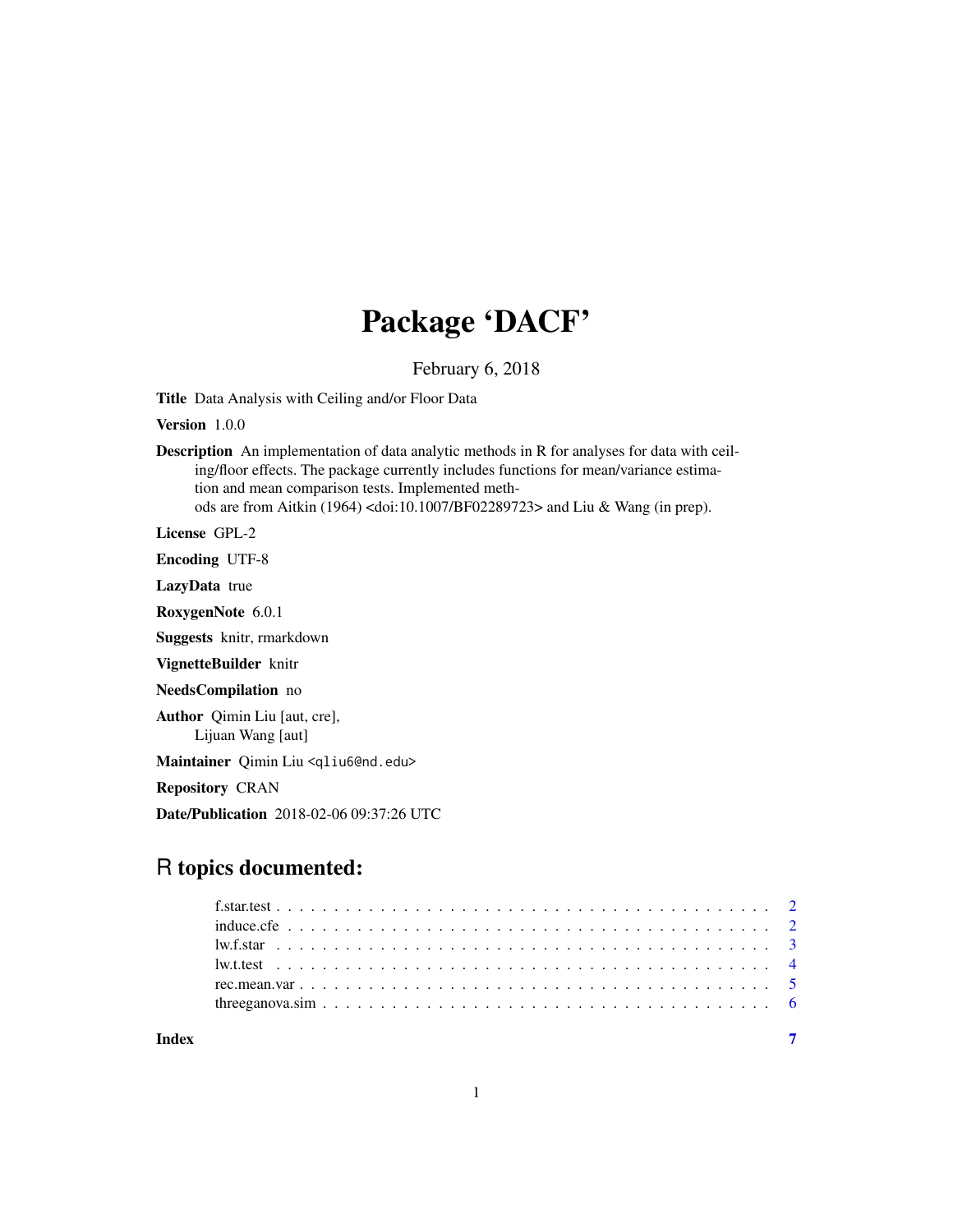## Package 'DACF'

February 6, 2018

Title Data Analysis with Ceiling and/or Floor Data

Version 1.0.0

Description An implementation of data analytic methods in R for analyses for data with ceiling/floor effects. The package currently includes functions for mean/variance estimation and mean comparison tests. Implemented methods are from Aitkin (1964) <doi:10.1007/BF02289723> and Liu & Wang (in prep).

License GPL-2

Encoding UTF-8

LazyData true

RoxygenNote 6.0.1

Suggests knitr, rmarkdown

VignetteBuilder knitr

NeedsCompilation no

Author Qimin Liu [aut, cre], Lijuan Wang [aut]

Maintainer Qimin Liu <qliu6@nd.edu>

Repository CRAN

Date/Publication 2018-02-06 09:37:26 UTC

### R topics documented:

| Indev |  |  |  |  |  |  |  |  |  |  |  |  |  |  |  |  |  |
|-------|--|--|--|--|--|--|--|--|--|--|--|--|--|--|--|--|--|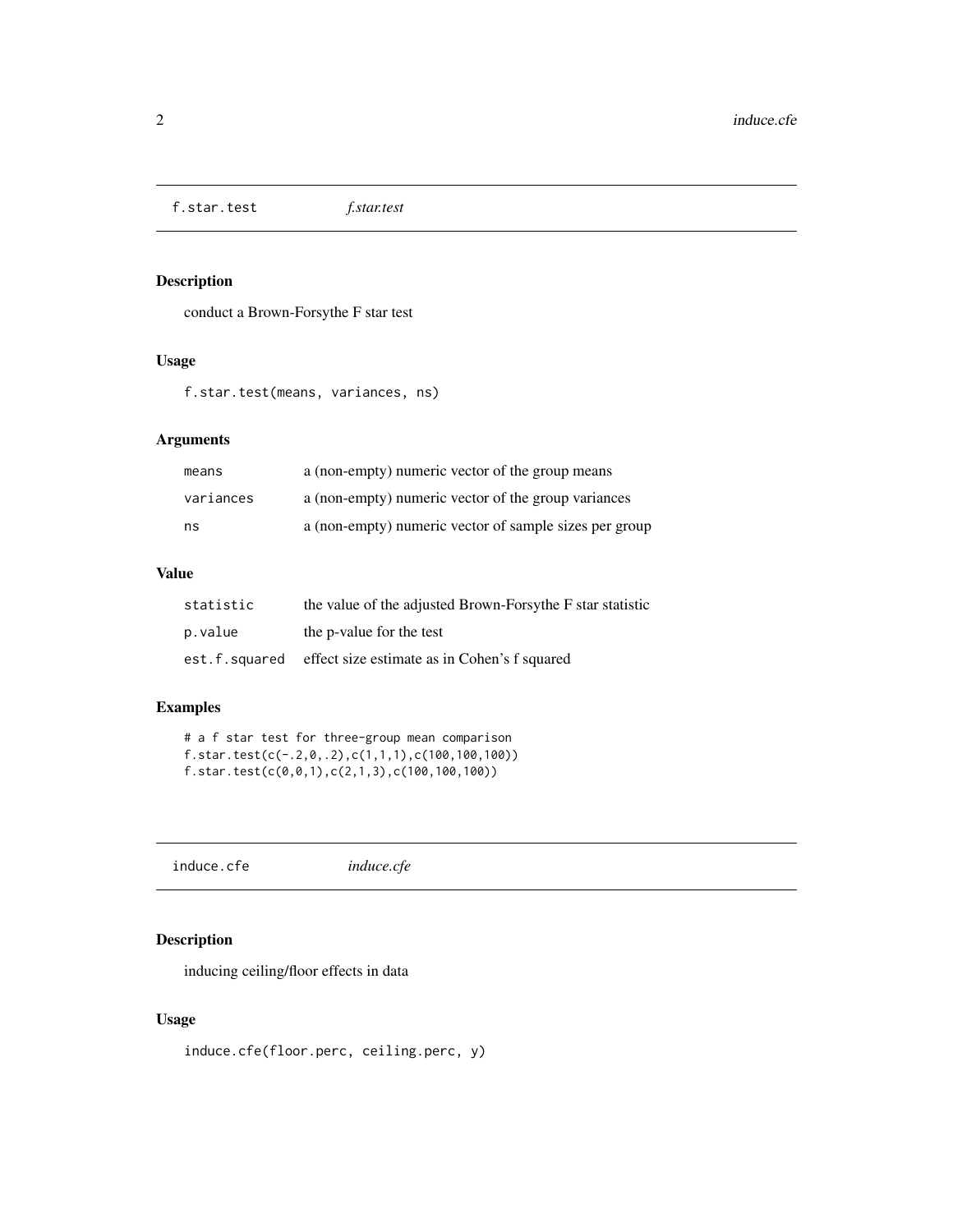<span id="page-1-0"></span>f.star.test *f.star.test*

#### Description

conduct a Brown-Forsythe F star test

#### Usage

f.star.test(means, variances, ns)

#### Arguments

| means     | a (non-empty) numeric vector of the group means        |
|-----------|--------------------------------------------------------|
| variances | a (non-empty) numeric vector of the group variances    |
| ns        | a (non-empty) numeric vector of sample sizes per group |

#### Value

| statistic     | the value of the adjusted Brown-Forsythe F star statistic |
|---------------|-----------------------------------------------------------|
| p.value       | the p-value for the test                                  |
| est.f.squared | effect size estimate as in Cohen's f squared              |

#### Examples

```
# a f star test for three-group mean comparison
f.star.test(c(-.2,0,.2),c(1,1,1),c(100,100,100))
f.star.test(c(0,0,1),c(2,1,3),c(100,100,100))
```
induce.cfe *induce.cfe*

#### Description

inducing ceiling/floor effects in data

#### Usage

induce.cfe(floor.perc, ceiling.perc, y)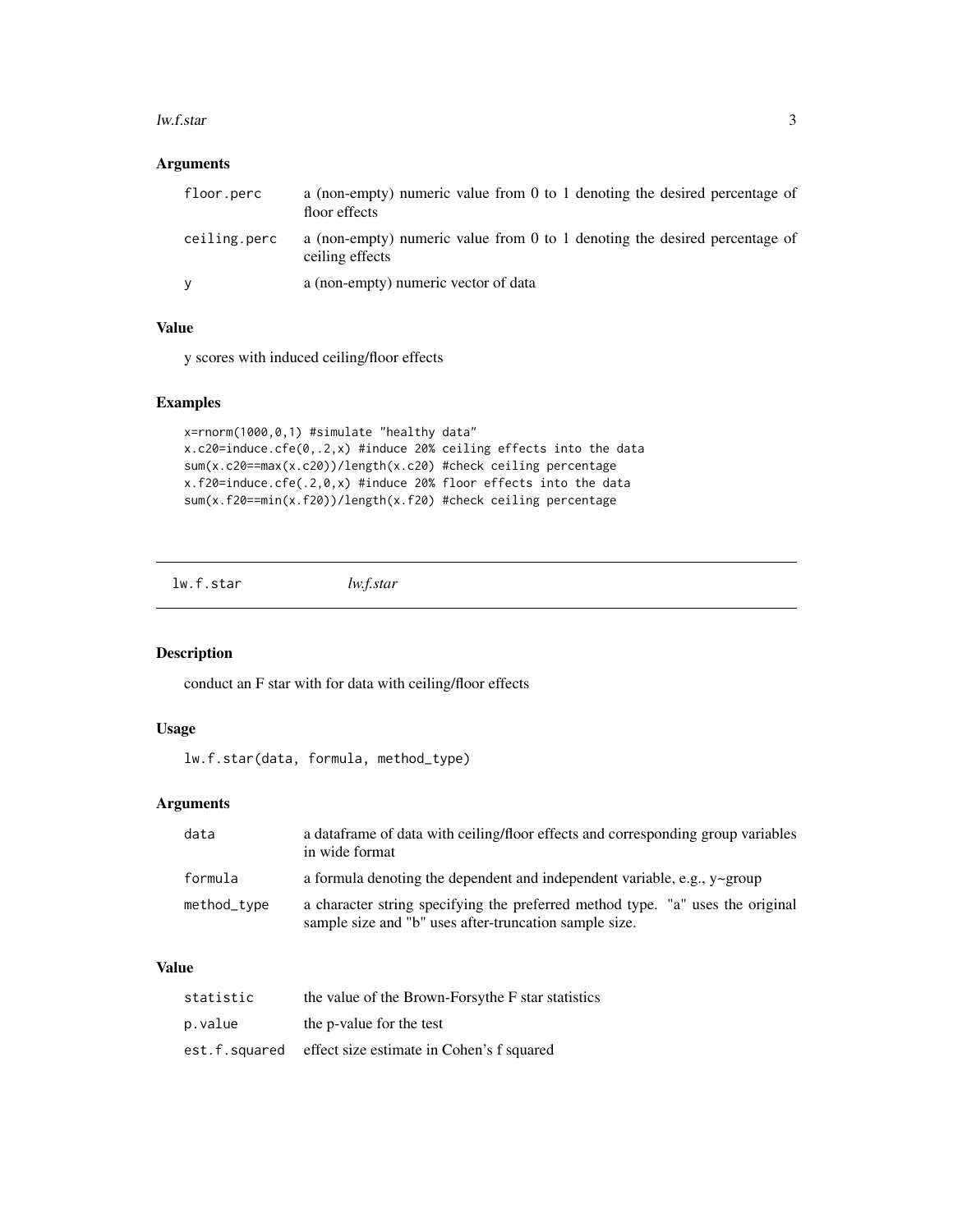#### <span id="page-2-0"></span>lw.f.star 3

#### Arguments

| floor.perc   | a (non-empty) numeric value from 0 to 1 denoting the desired percentage of<br>floor effects   |
|--------------|-----------------------------------------------------------------------------------------------|
| ceiling.perc | a (non-empty) numeric value from 0 to 1 denoting the desired percentage of<br>ceiling effects |
| V            | a (non-empty) numeric vector of data                                                          |

#### Value

y scores with induced ceiling/floor effects

#### Examples

```
x=rnorm(1000,0,1) #simulate "healthy data"
x.c20=induce.cfe(0,.2,x) #induce 20% ceiling effects into the data
sum(x.c20==max(x.c20))/length(x.c20) #check ceiling percentage
x.f20=induce.cfe(.2,0,x) #induce 20% floor effects into the data
sum(x.f20==min(x.f20))/length(x.f20) #check ceiling percentage
```
lw.f.star *lw.f.star*

#### Description

conduct an F star with for data with ceiling/floor effects

#### Usage

lw.f.star(data, formula, method\_type)

#### Arguments

| data        | a data frame of data with ceiling/floor effects and corresponding group variables<br>in wide format                                      |
|-------------|------------------------------------------------------------------------------------------------------------------------------------------|
| formula     | a formula denoting the dependent and independent variable, e.g., $y\sim$ group                                                           |
| method_type | a character string specifying the preferred method type. "a" uses the original<br>sample size and "b" uses after-truncation sample size. |

#### Value

| statistic     | the value of the Brown-Forsythe F star statistics |
|---------------|---------------------------------------------------|
| p.value       | the p-value for the test                          |
| est.f.squared | effect size estimate in Cohen's f squared         |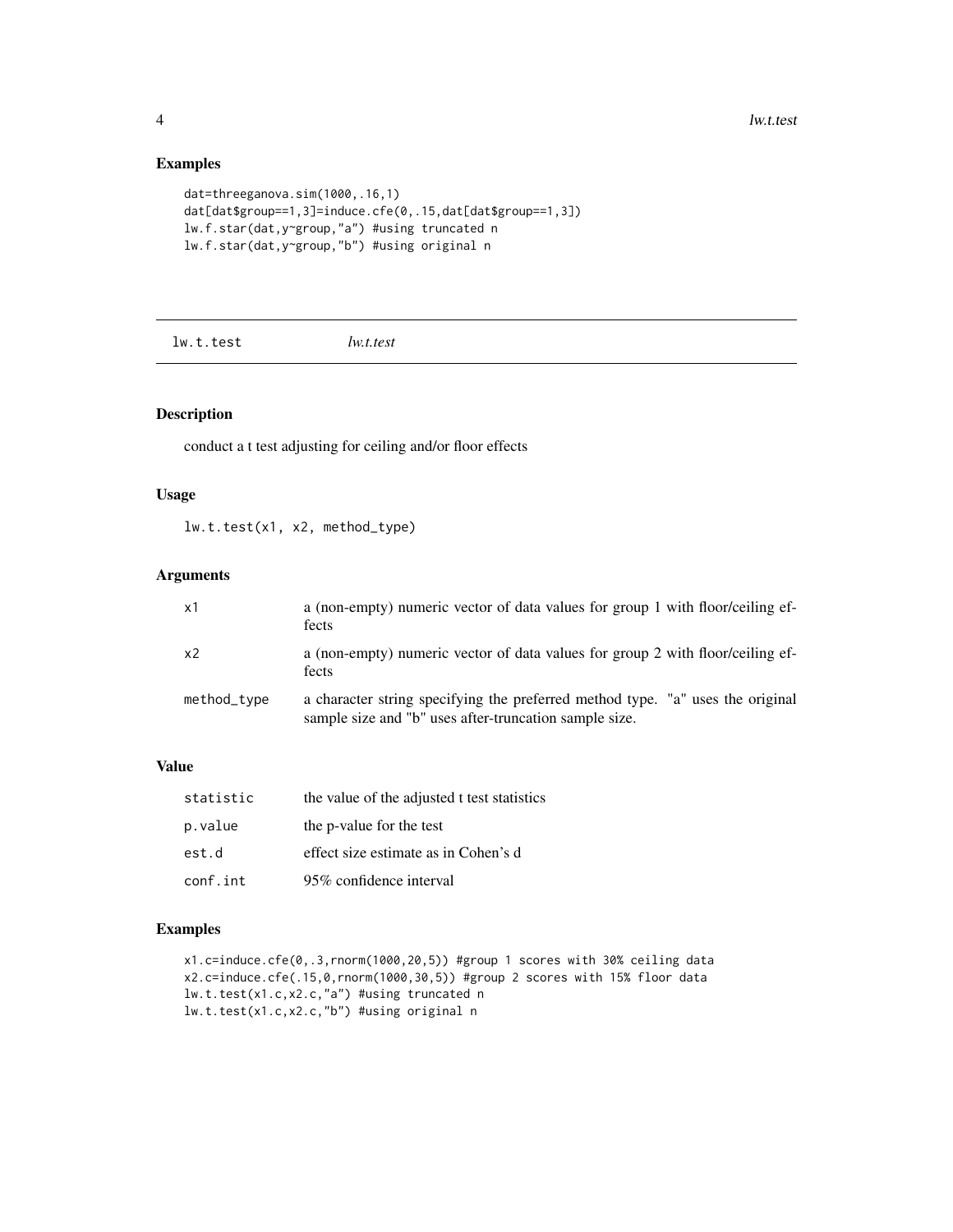#### Examples

```
dat=threeganova.sim(1000,.16,1)
dat[dat$group==1,3]=induce.cfe(0,.15,dat[dat$group==1,3])
lw.f.star(dat,y~group,"a") #using truncated n
lw.f.star(dat,y~group,"b") #using original n
```
lw.t.test *lw.t.test*

#### Description

conduct a t test adjusting for ceiling and/or floor effects

#### Usage

lw.t.test(x1, x2, method\_type)

#### Arguments

| x1          | a (non-empty) numeric vector of data values for group 1 with floor/ceiling ef-<br>fects                                                  |
|-------------|------------------------------------------------------------------------------------------------------------------------------------------|
| $\times 2$  | a (non-empty) numeric vector of data values for group 2 with floor/ceiling ef-<br>fects                                                  |
| method_type | a character string specifying the preferred method type. "a" uses the original<br>sample size and "b" uses after-truncation sample size. |

#### Value

| statistic | the value of the adjusted t test statistics |
|-----------|---------------------------------------------|
| p.value   | the p-value for the test                    |
| est.d     | effect size estimate as in Cohen's d        |
| conf.int  | 95% confidence interval                     |

#### Examples

x1.c=induce.cfe(0,.3,rnorm(1000,20,5)) #group 1 scores with 30% ceiling data x2.c=induce.cfe(.15,0,rnorm(1000,30,5)) #group 2 scores with 15% floor data lw.t.test(x1.c,x2.c,"a") #using truncated n lw.t.test(x1.c,x2.c,"b") #using original n

<span id="page-3-0"></span>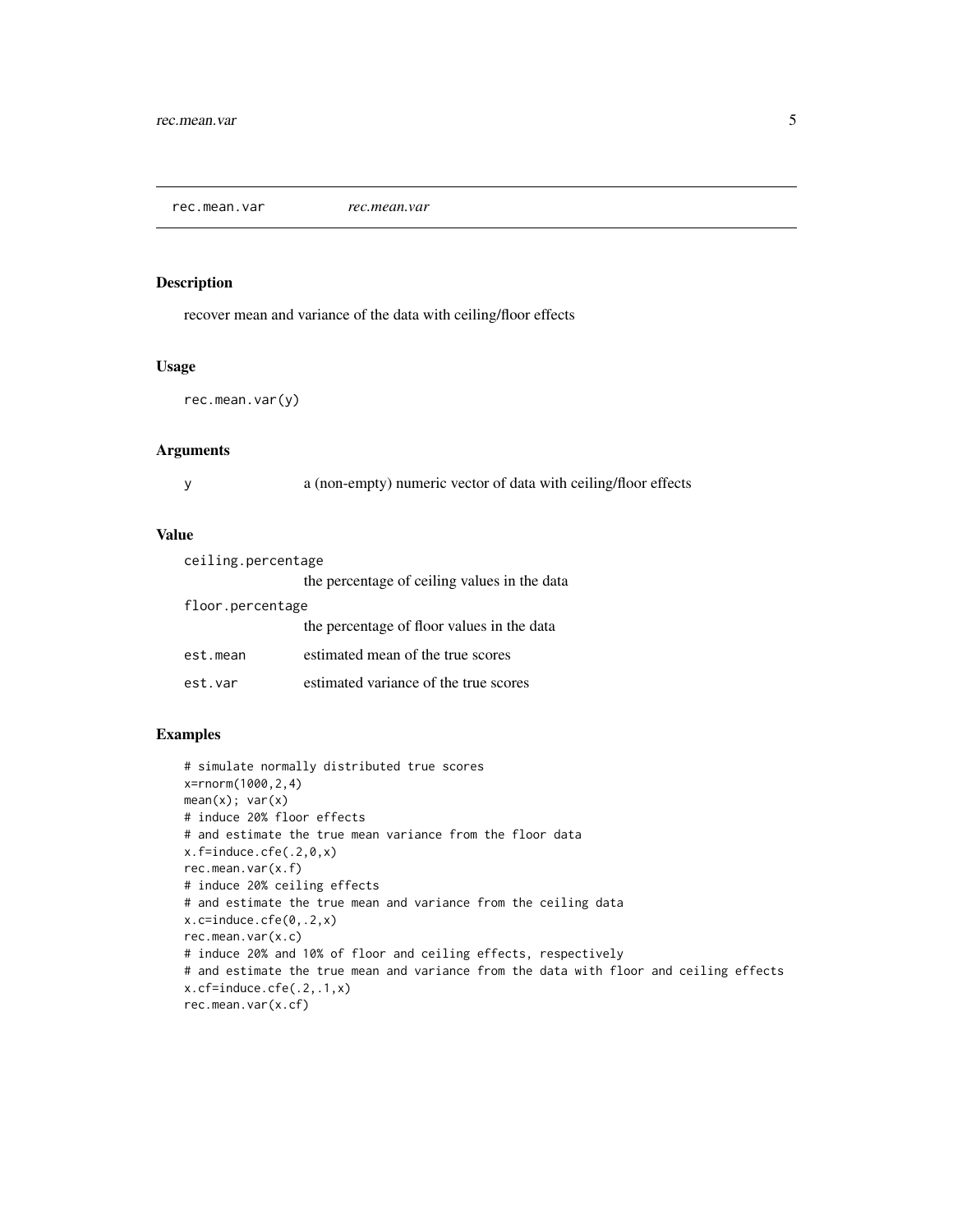<span id="page-4-0"></span>rec.mean.var *rec.mean.var*

#### Description

recover mean and variance of the data with ceiling/floor effects

#### Usage

```
rec.mean.var(y)
```
#### Arguments

y a (non-empty) numeric vector of data with ceiling/floor effects

#### Value

| ceiling.percentage |                                              |  |  |  |  |
|--------------------|----------------------------------------------|--|--|--|--|
|                    | the percentage of ceiling values in the data |  |  |  |  |
| floor.percentage   |                                              |  |  |  |  |
|                    | the percentage of floor values in the data   |  |  |  |  |
| est.mean           | estimated mean of the true scores            |  |  |  |  |
| est.var            | estimated variance of the true scores        |  |  |  |  |

#### Examples

```
# simulate normally distributed true scores
x=rnorm(1000,2,4)
mean(x); var(x)# induce 20% floor effects
# and estimate the true mean variance from the floor data
x.f=induce.cfe(.2,0,x)
rec.mean.var(x.f)
# induce 20% ceiling effects
# and estimate the true mean and variance from the ceiling data
x.c=induce.cfe(0,.2,x)
rec.mean.var(x.c)
# induce 20% and 10% of floor and ceiling effects, respectively
# and estimate the true mean and variance from the data with floor and ceiling effects
x.cf=induce.cfe(.2,.1,x)
rec.mean.var(x.cf)
```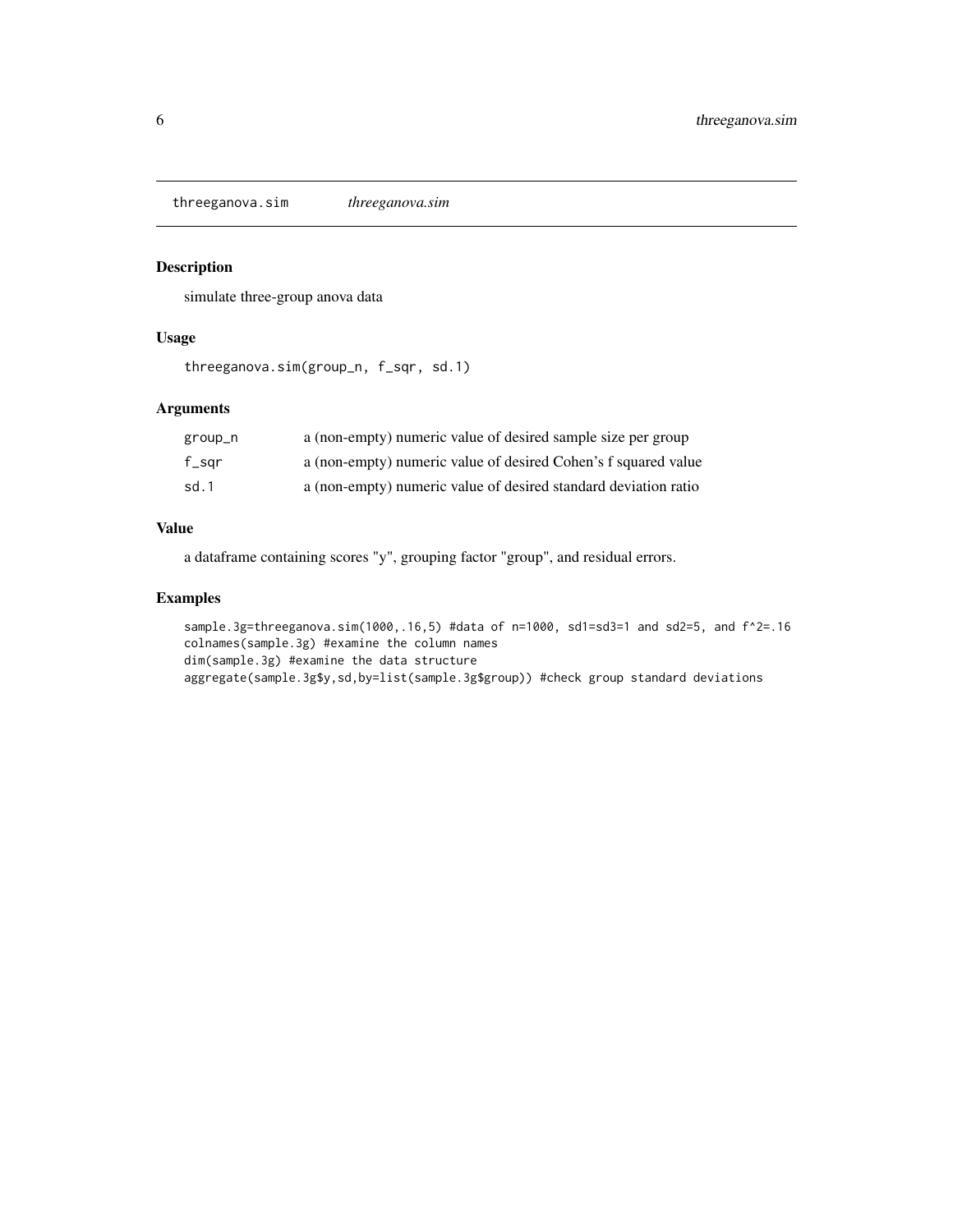<span id="page-5-0"></span>threeganova.sim *threeganova.sim*

#### Description

simulate three-group anova data

#### Usage

threeganova.sim(group\_n, f\_sqr, sd.1)

#### Arguments

| group_n  | a (non-empty) numeric value of desired sample size per group    |
|----------|-----------------------------------------------------------------|
| $f$ _sqr | a (non-empty) numeric value of desired Cohen's f squared value  |
| sd.1     | a (non-empty) numeric value of desired standard deviation ratio |

#### Value

a dataframe containing scores "y", grouping factor "group", and residual errors.

#### Examples

sample.3g=threeganova.sim(1000,.16,5) #data of n=1000, sd1=sd3=1 and sd2=5, and f^2=.16 colnames(sample.3g) #examine the column names dim(sample.3g) #examine the data structure aggregate(sample.3g\$y,sd,by=list(sample.3g\$group)) #check group standard deviations